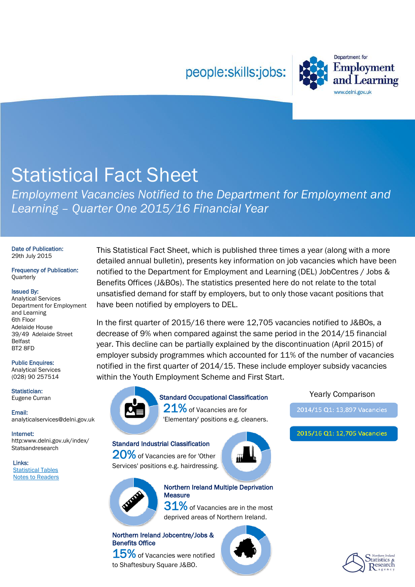### people:skills:jobs:



# Statistical Fact Sheet

*Employment Vacancies Notified to the Department for Employment and Learning – Quarter One 2015/16 Financial Year* 

#### Date of Publication: 29th July 2015

Frequency of Publication: **Quarterly** 

#### Issued By:

Analytical Services Department for Employment and Learning 6th Floor Adelaide House 39/49 Adelaide Street Belfast BT2 8FD

#### Public Enquires:

Analytical Services (028) 90 257514

Statistician: Eugene Curran

Email: analyticalservices@delni.gov.uk

Internet: http:www.delni.gov.uk/index/ **Statsandresearch** 

Links: [Statistical Tables](http://www.delni.gov.uk/vacancies-statistical-factsheet-july-2015) [Notes to Readers](http://www.delni.gov.uk/employment-vacancies-factsheet-notes-to-readers-july-2015.pdf) This Statistical Fact Sheet, which is published three times a year (along with a more detailed annual bulletin), presents key information on job vacancies which have been notified to the Department for Employment and Learning (DEL) JobCentres / Jobs & Benefits Offices (J&BOs). The statistics presented here do not relate to the total unsatisfied demand for staff by employers, but to only those vacant positions that have been notified by employers to DEL.

In the first quarter of 2015/16 there were 12,705 vacancies notified to J&BOs, a decrease of 9% when compared against the same period in the 2014/15 financial year. This decline can be partially explained by the discontinuation (April 2015) of employer subsidy programmes which accounted for 11% of the number of vacancies notified in the first quarter of 2014/15. These include employer subsidy vacancies within the Youth Employment Scheme and First Start.



### Yearly Comparison Standard Occupational Classification

21% of Vacancies are for 'Elementary' positions e.g. cleaners.

#### Standard Industrial Classification

20% of Vacancies are for 'Other Services' positions e.g. hairdressing.





2014/15 Q1: 13,897 Vacancies

2015/16 Q1: 12,705 Vacancies



Northern Ireland Multiple Deprivation **Measure** 

 ${\bf 31\%}$  of Vacancies are in the most deprived areas of Northern Ireland.

#### Northern Ireland Jobcentre/Jobs & Benefits Office

 $15\%$  of Vacancies were notified to Shaftesbury Square J&BO.



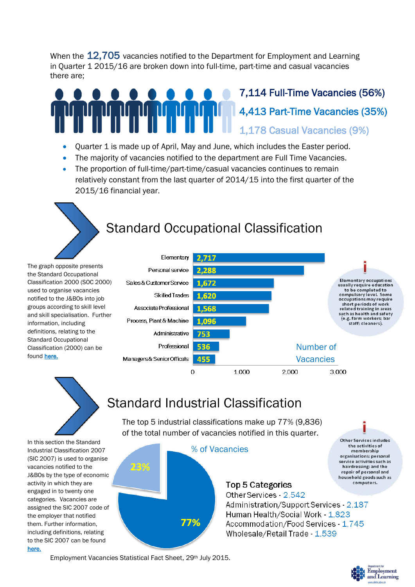When the 12,705 vacancies notified to the Department for Employment and Learning in Quarter 1 2015/16 are broken down into full-time, part-time and casual vacancies there are;

### 7,114 Full-Time Vacancies (56%) 4,413 Part-Time Vacancies (35%) 1,178 Casual Vacancies (9%)

- Quarter 1 is made up of April, May and June, which includes the Easter period.
- The majority of vacancies notified to the department are Full Time Vacancies.
- The proportion of full-time/part-time/casual vacancies continues to remain relatively constant from the last quarter of 2014/15 into the first quarter of the 2015/16 financial year.

# Standard Occupational Classification

The graph opposite presents the Standard Occupational Classification 2000 (SOC 2000) used to organise vacancies notified to the J&BOs into job groups according to skill level and skill specialisation. Further information, including definitions, relating to the Standard Occupational Classification (2000) can be found [here.](http://www.delni.gov.uk/employment-vacancies-factsheet-notes-to-readers-july-2015.pdf#page=3)



## Standard Industrial Classification

The top 5 industrial classifications make up 77% (9,836) of the total number of vacancies notified in this quarter.

In this section the Standard Industrial Classification 2007 (SIC 2007) is used to organise vacancies notified to the J&BOs by the type of economic activity in which they are engaged in to twenty one categories. Vacancies are assigned the SIC 2007 code of the employer that notified them. Further information, including definitions, relating to the SIC 2007 can be found [here.](http://www.delni.gov.uk/employment-vacancies-factsheet-notes-to-readers-july-2015.pdf#page=1)



### Top 5 Categories

Other Services - 2.542 Administration/Support Services 2,187 Human Health/Social Work - 1,823 Accommodation/Food Services - 1,745 Wholesale/Retail Trade - 1,539

Employment Vacancies Statistical Fact Sheet, 29th July 2015.



**Other Services includes** the activities of membership organisations; personal service activities such as hairdressing: and the repair of personal and household goods such as computers.